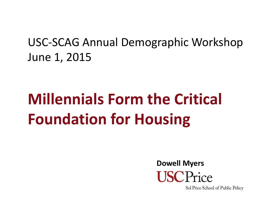## USC ‐SCAG Annual Demographic Workshop June 1, 2015

# **Millennials Form the Critical Foundation for Housing**

**Dowell MyersISCPrice** 

Sol Price School of Public Policy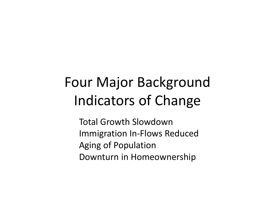## Four Major Background Indicators of Change

Total Growth Slowdown Immigration In‐Flows Reduced Aging of Population Downturn in Homeownership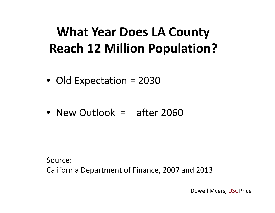## **What Year Does LA County Reach 12 Million Population?**

- Old Expectation <sup>=</sup> 2030
- New Outlook = after 2060

Source:California Department of Finance, 2007 and 2013

Dowell Myers, USCPrice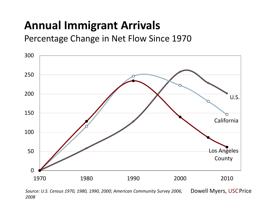## **Annual Immigrant Arrivals**

Percentage Change in Net Flow Since 1970



*Source: U.S. Census 1970, 1980, 1990, 2000; American Community Survey 2006, 2008*Dowell Myers, USCPrice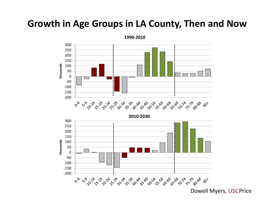#### **Growth in Age Groups in LA County, Then and Now**



Dowell Myers, USCPrice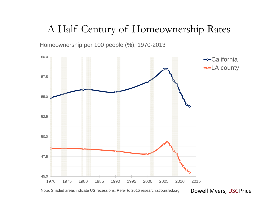#### A Half Century of Homeownership Rates

Homeownership per 100 people (%), 1970-2013

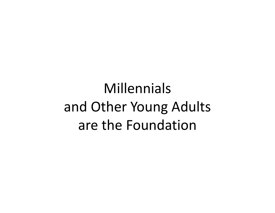## Millennialsand Other Young Adults are the Foundation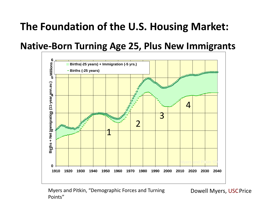## **The Foundation of the U.S. Housing Market:**

#### **Native‐Born Turning Age 25, Plus New Immigrants**



Myers and Pitkin, "Demographic Forces and Turning Points"

Dowell Myers, USCPrice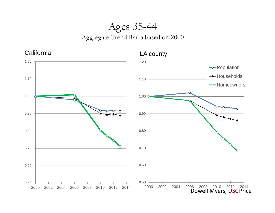#### Ages 35-44 Aggregate Trend Ratio based on 2000

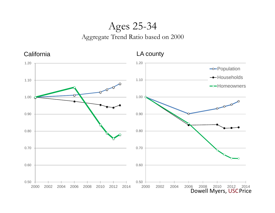#### Ages 25-34 Aggregate Trend Ratio based on 2000

California

LA county

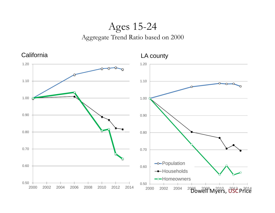#### Ages 15-24 Aggregate Trend Ratio based on 2000

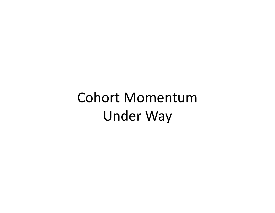# Cohort Momentum Under Way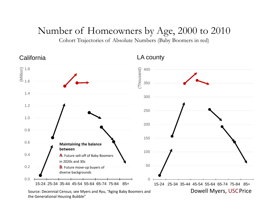#### Number of Homeowners by Age, 2000 to 2010

Cohort Trajectories of Absolute Numbers (Baby Boomers in red)

California

LA county

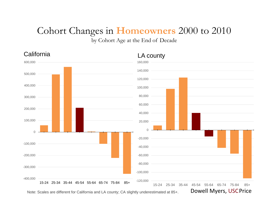### Cohort Changes in **Homeowners** 2000 to 2010

by Cohort Age at the End of Decade

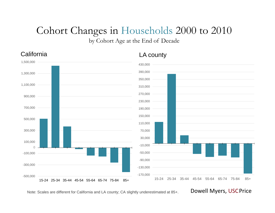### Cohort Changes in Households 2000 to 2010

by Cohort Age at the End of Decade



Note: Scales are different for California and LA county; CA slightly underestimated at 85+. Dowell Myers, USCPrice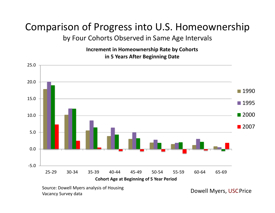#### Comparison of Progress into U.S. Homeownership by Four Cohorts Observed in Same Age Intervals

**Increment in Homeownership Rate by Cohorts in 5 Years After Beginning Date**



Source: Dowell Myers analysis of Housing Vacancy Survey data

Dowell Myers, USCPrice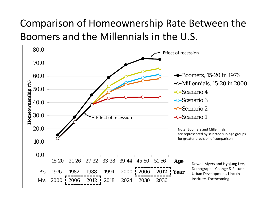### Comparison of Homeownership Rate Between the Boomers and the Millennials in the U.S.

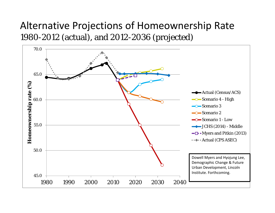#### Alternative Projections of Homeownership Rate 1980-2012 (actual), and 2012-2036 (projected)

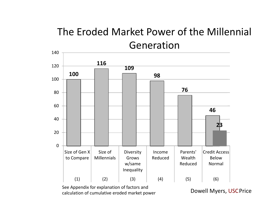### The Eroded Market Power of the Millennial Generation

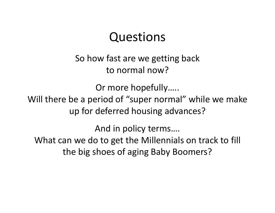## Questions

So how fast are we getting back to normal now?

Or more hopefully….. Will there be <sup>a</sup> period of "super normal" while we make up for deferred housing advances?

And in policy terms….

What can we do to get the Millennials on track to fill the big shoes of aging Baby Boomers?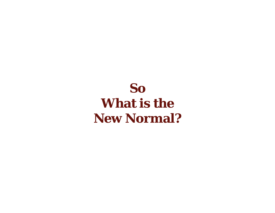## **So What is the New Normal?**